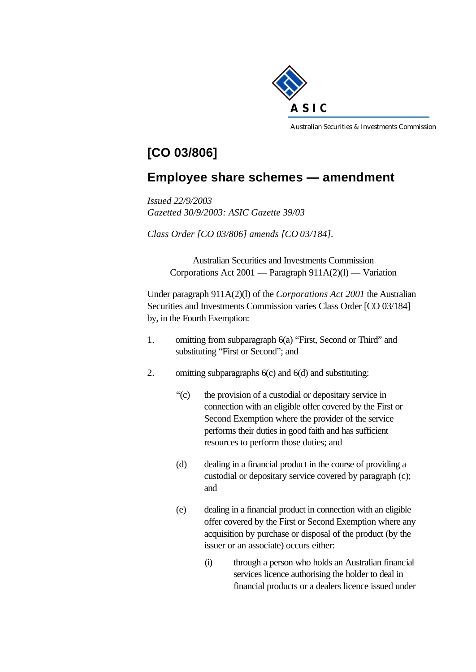

Australian Securities & Investments Commission

## **[CO 03/806]**

## **Employee share schemes — amendment**

*Issued 22/9/2003 Gazetted 30/9/2003: ASIC Gazette 39/03*

*Class Order [CO 03/806] amends [CO 03/184].*

Australian Securities and Investments Commission Corporations Act 2001 — Paragraph 911A(2)(l) — Variation

Under paragraph 911A(2)(l) of the *Corporations Act 2001* the Australian Securities and Investments Commission varies Class Order [CO 03/184] by, in the Fourth Exemption:

- 1. omitting from subparagraph 6(a) "First, Second or Third" and substituting "First or Second"; and
- 2. omitting subparagraphs 6(c) and 6(d) and substituting:
	- "(c) the provision of a custodial or depositary service in connection with an eligible offer covered by the First or Second Exemption where the provider of the service performs their duties in good faith and has sufficient resources to perform those duties; and
	- (d) dealing in a financial product in the course of providing a custodial or depositary service covered by paragraph (c); and
	- (e) dealing in a financial product in connection with an eligible offer covered by the First or Second Exemption where any acquisition by purchase or disposal of the product (by the issuer or an associate) occurs either:
		- (i) through a person who holds an Australian financial services licence authorising the holder to deal in financial products or a dealers licence issued under